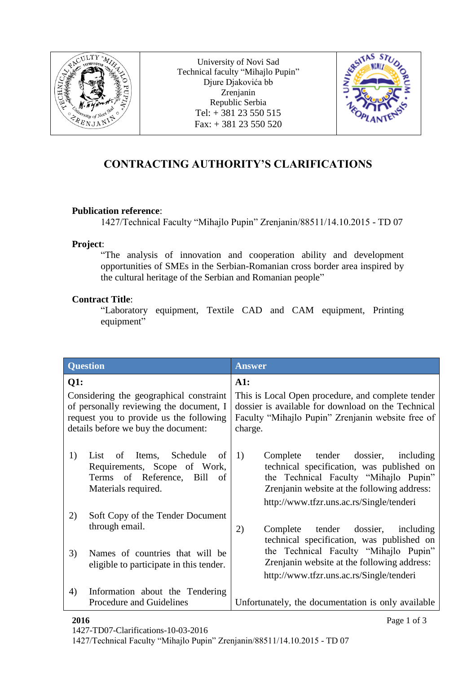

University of Novi Sad Technical faculty "Mihajlo Pupin" Djure Djakovića bb Zrenjanin Republic Serbia Tel: + 381 23 550 515  $Fax: + 38123550520$ 



## **CONTRACTING AUTHORITY'S CLARIFICATIONS**

## **Publication reference**:

1427/Technical Faculty "Mihajlo Pupin" Zrenjanin/88511/14.10.2015 - TD 07

## **Project**:

"The analysis of innovation and cooperation ability and development opportunities of SMEs in the Serbian-Romanian cross border area inspired by the cultural heritage of the Serbian and Romanian people"

## **Contract Title**:

"Laboratory equipment, Textile CAD and CAM equipment, Printing equipment"

| <b>Question</b>                                                                                                                                                             |                                                                                                                           | <b>Answer</b>                                                                                                                                                                                                                |
|-----------------------------------------------------------------------------------------------------------------------------------------------------------------------------|---------------------------------------------------------------------------------------------------------------------------|------------------------------------------------------------------------------------------------------------------------------------------------------------------------------------------------------------------------------|
| Q1:<br>Considering the geographical constraint<br>of personally reviewing the document, I<br>request you to provide us the following<br>details before we buy the document: |                                                                                                                           | A1:<br>This is Local Open procedure, and complete tender<br>dossier is available for download on the Technical<br>Faculty "Mihajlo Pupin" Zrenjanin website free of<br>charge.                                               |
| 1)                                                                                                                                                                          | of Items, Schedule<br>List<br>of<br>Requirements, Scope of Work,<br>Terms of Reference, Bill<br>of<br>Materials required. | Complete tender dossier,<br>1)<br>including<br>technical specification, was published on<br>the Technical Faculty "Mihajlo Pupin"<br>Zrenjanin website at the following address:<br>http://www.tfzr.uns.ac.rs/Single/tenderi |
| 2)                                                                                                                                                                          | Soft Copy of the Tender Document<br>through email.                                                                        | 2)<br>Complete tender dossier, including<br>technical specification, was published on                                                                                                                                        |
| 3)                                                                                                                                                                          | Names of countries that will be<br>eligible to participate in this tender.                                                | the Technical Faculty "Mihajlo Pupin"<br>Zrenjanin website at the following address:<br>http://www.tfzr.uns.ac.rs/Single/tenderi                                                                                             |
| 4)                                                                                                                                                                          | Information about the Tendering<br>Procedure and Guidelines                                                               | Unfortunately, the documentation is only available                                                                                                                                                                           |

1427/Technical Faculty "Mihajlo Pupin" Zrenjanin/88511/14.10.2015 - TD 07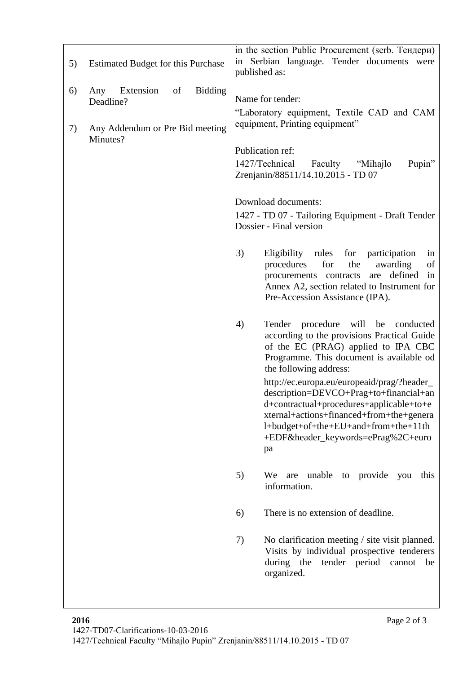| 5)       | <b>Estimated Budget for this Purchase</b>                                                            | in the section Public Procurement (serb. Тендери)<br>in Serbian language. Tender documents were<br>published as:                                                                                                                                                                                                                                                                                                                                                                                                                                                                                                                                                                                                                                                                                                                                                                                                                                                                                                                                                                                      |
|----------|------------------------------------------------------------------------------------------------------|-------------------------------------------------------------------------------------------------------------------------------------------------------------------------------------------------------------------------------------------------------------------------------------------------------------------------------------------------------------------------------------------------------------------------------------------------------------------------------------------------------------------------------------------------------------------------------------------------------------------------------------------------------------------------------------------------------------------------------------------------------------------------------------------------------------------------------------------------------------------------------------------------------------------------------------------------------------------------------------------------------------------------------------------------------------------------------------------------------|
| 6)<br>7) | <b>Bidding</b><br>Extension<br>of<br>Any<br>Deadline?<br>Any Addendum or Pre Bid meeting<br>Minutes? | Name for tender:<br>"Laboratory equipment, Textile CAD and CAM<br>equipment, Printing equipment"<br>Publication ref:<br>1427/Technical<br>Pupin"<br>Faculty "Mihajlo"<br>Zrenjanin/88511/14.10.2015 - TD 07<br>Download documents:<br>1427 - TD 07 - Tailoring Equipment - Draft Tender<br>Dossier - Final version<br>3)<br>Eligibility rules for participation<br>in<br>for<br>the<br>procedures<br>awarding<br>of<br>are defined<br>procurements contracts<br>in<br>Annex A2, section related to Instrument for<br>Pre-Accession Assistance (IPA).<br>Tender procedure will be<br>4)<br>conducted<br>according to the provisions Practical Guide<br>of the EC (PRAG) applied to IPA CBC<br>Programme. This document is available od<br>the following address:<br>http://ec.europa.eu/europeaid/prag/?header_<br>description=DEVCO+Prag+to+financial+an<br>d+contractual+procedures+applicable+to+e<br>xternal+actions+financed+from+the+genera<br>l+budget+of+the+EU+and+from+the+11th<br>+EDF&header_keywords=ePrag%2C+euro<br>pa<br>5)<br>We are unable to provide<br>you<br>this<br>information. |
|          |                                                                                                      |                                                                                                                                                                                                                                                                                                                                                                                                                                                                                                                                                                                                                                                                                                                                                                                                                                                                                                                                                                                                                                                                                                       |
|          |                                                                                                      | There is no extension of deadline.<br>6)                                                                                                                                                                                                                                                                                                                                                                                                                                                                                                                                                                                                                                                                                                                                                                                                                                                                                                                                                                                                                                                              |
|          |                                                                                                      | 7)<br>No clarification meeting / site visit planned.<br>Visits by individual prospective tenderers<br>during the tender period cannot<br>be<br>organized.                                                                                                                                                                                                                                                                                                                                                                                                                                                                                                                                                                                                                                                                                                                                                                                                                                                                                                                                             |